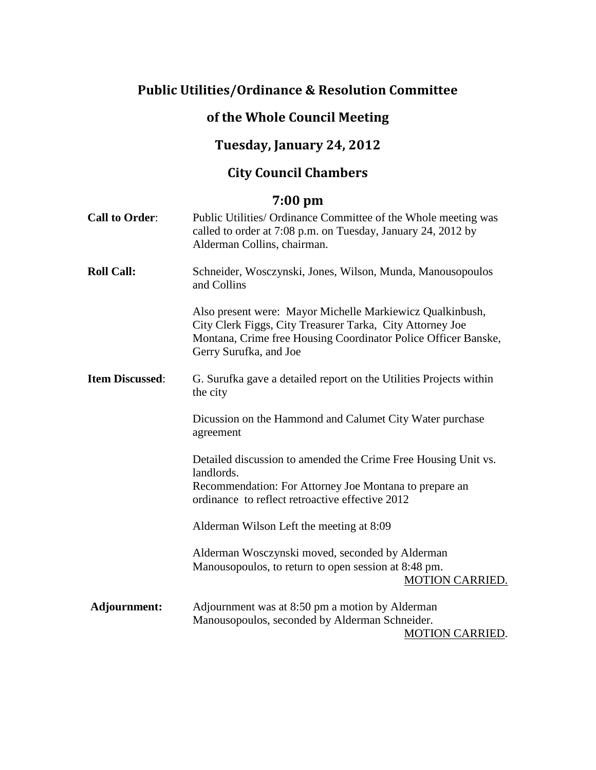# **Public Utilities/Ordinance & Resolution Committee**

## **of the Whole Council Meeting**

## **Tuesday, January 24, 2012**

## **City Council Chambers**

## **7:00 pm**

| <b>Call to Order:</b>  | Public Utilities/ Ordinance Committee of the Whole meeting was<br>called to order at 7:08 p.m. on Tuesday, January 24, 2012 by<br>Alderman Collins, chairman.                                                      |
|------------------------|--------------------------------------------------------------------------------------------------------------------------------------------------------------------------------------------------------------------|
| <b>Roll Call:</b>      | Schneider, Wosczynski, Jones, Wilson, Munda, Manousopoulos<br>and Collins                                                                                                                                          |
|                        | Also present were: Mayor Michelle Markiewicz Qualkinbush,<br>City Clerk Figgs, City Treasurer Tarka, City Attorney Joe<br>Montana, Crime free Housing Coordinator Police Officer Banske,<br>Gerry Surufka, and Joe |
| <b>Item Discussed:</b> | G. Surufka gave a detailed report on the Utilities Projects within<br>the city                                                                                                                                     |
|                        | Dicussion on the Hammond and Calumet City Water purchase<br>agreement                                                                                                                                              |
|                        | Detailed discussion to amended the Crime Free Housing Unit vs.<br>landlords.<br>Recommendation: For Attorney Joe Montana to prepare an<br>ordinance to reflect retroactive effective 2012                          |
|                        | Alderman Wilson Left the meeting at 8:09                                                                                                                                                                           |
|                        | Alderman Wosczynski moved, seconded by Alderman<br>Manousopoulos, to return to open session at 8:48 pm.<br><b>MOTION CARRIED.</b>                                                                                  |
| Adjournment:           | Adjournment was at 8:50 pm a motion by Alderman<br>Manousopoulos, seconded by Alderman Schneider.<br><b>MOTION CARRIED.</b>                                                                                        |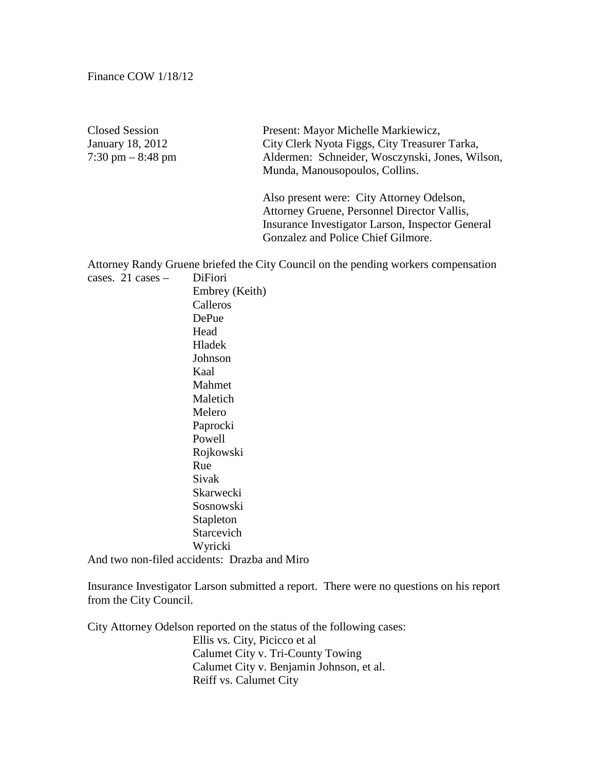Closed Session Present: Mayor Michelle Markiewicz, January 18, 2012 City Clerk Nyota Figgs, City Treasurer Tarka,<br>
7:30 pm – 8:48 pm – Aldermen: Schneider, Wosczynski, Jones, Wi Aldermen: Schneider, Wosczynski, Jones, Wilson, Munda, Manousopoulos, Collins.

> Also present were: City Attorney Odelson, Attorney Gruene, Personnel Director Vallis, Insurance Investigator Larson, Inspector General Gonzalez and Police Chief Gilmore.

Attorney Randy Gruene briefed the City Council on the pending workers compensation cases. 21 cases – DiFiori

Embrey (Keith) Calleros DePue Head Hladek Johnson Kaal Mahmet Maletich Melero Paprocki Powell Rojkowski Rue Sivak Skarwecki Sosnowski Stapleton Starcevich Wyricki And two non-filed accidents: Drazba and Miro

Insurance Investigator Larson submitted a report. There were no questions on his report

from the City Council.

City Attorney Odelson reported on the status of the following cases: Ellis vs. City, Picicco et al Calumet City v. Tri-County Towing Calumet City v. Benjamin Johnson, et al. Reiff vs. Calumet City